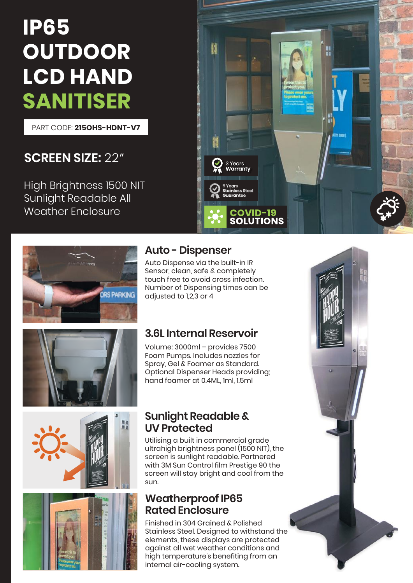# **IP65 OUTDOOR LCD HAND SANITISER**

PART CODE: **215OHS-HDNT-V7**

# **SCREEN SIZE:** 22"

High Brightness 1500 NIT Sunlight Readable All Weather Enclosure









# **Auto - Dispenser**

Auto Dispense via the built-in IR Sensor, clean, safe & completely touch free to avoid cross infection. Number of Dispensing times can be adjusted to 1,2,3 or 4

3 Years Warranty

tainless Steel Guarantee

**COVID-19<br>SOLUTIONS** 

### **3.6L Internal Reservoir**

Volume: 3000ml – provides 7500 Foam Pumps. Includes nozzles for Spray, Gel & Foamer as Standard. Optional Dispenser Heads providing; hand foamer at 0.4ML, 1ml, 1.5ml

#### **Sunlight Readable & UV Protected**

Utilising a built in commercial grade ultrahigh brightness panel (1500 NIT), the screen is sunlight readable. Partnered with 3M Sun Control film Prestige 90 the screen will stay bright and cool from the sun.

#### **Weatherproof IP65 Rated Enclosure**

Finished in 304 Grained & Polished Stainless Steel. Designed to withstand the elements, these displays are protected against all wet weather conditions and high temperature's benefiting from an internal air-cooling system.



H

**SOOR YRTH**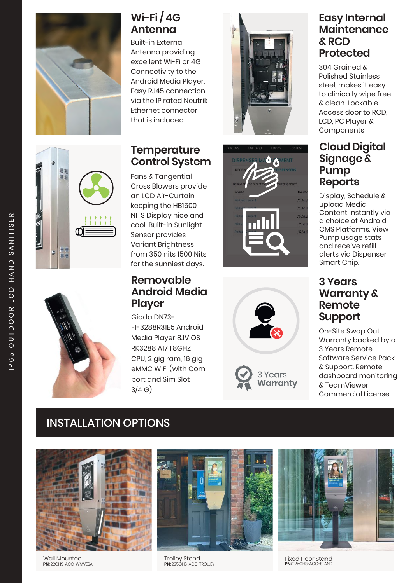

# **Wi-Fi / 4G Antenna**

Built-in External Antenna providing excellent Wi-Fi or 4G Connectivity to the Android Media Player. Easy RJ45 connection via the IP rated Neutrik Ethernet connector that is included.

#### **Temperature Control System**

Fans & Tangential Cross Blowers provide an LCD Air-Curtain keeping the HB1500 NITS Display nice and cool. Built-in Sunlight Sensor provides Variant Brightness from 350 nits 1500 Nits for the sunniest days.

#### **Removable Android Media Player**

Giada DN73- **March 2018 Support** F1-3288R31E5 Android Media Player 8.1V OS RK3288 A17 1.8GHZ CPU, 2 gig ram, 16 gig eMMC WIFI (with Com port and Sim Slot  $3/4 G$ 







Years Warranty

#### **Easy Internal Maintenance & RCD Protected**

304 Grained & Polished Stainless steel, makes it easy to clinically wipe free & clean. Lockable Access door to RCD, LCD, PC Player & Components

#### **Cloud Digital Signage & Pump Reports**

Display, Schedule & upload Media Content instantly via a choice of Android CMS Platforms. View Pump usage stats and receive refill alerts via Dispenser Smart Chip.

# **3 Years Warranty & Remote**

On-Site Swap Out Warranty backed by a 3 Years Remote Software Service Pack & Support. Remote dashboard monitoring & TeamViewer Commercial License

# INSTALLATION OPTIONS



Wall Mounted **PN:** 22OHS-ACC-WMVESA



Trolley Stand **PN:** 225OHS-ACC-TROLLEY



Fixed Floor Stand **PN:** 225OHS-ACC-STAND